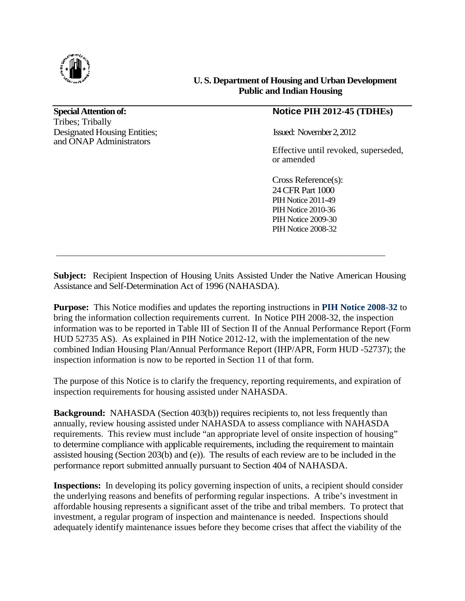

**Special Attention of:** Tribes; Tribally Designated Housing Entities; and ONAP Administrators

### **U. S. Department of Housing and Urban Development Public and Indian Housing**

# **Notice PIH 2012-45**

Issued: November2,2012

Effective until revoked, superseded, or amended

Cross Reference(s): 24 CFR Part 1000 PIH Notice 2011-49 PIH Notice 2010-36 PIH Notice 2009-30 PIH Notice 2008-32

Subject: Recipient Inspection of Housing Units Assisted Under the Native American Housing Assistance and Self-Determination Act of 1996 (NAHASDA).

Purpose: This Notice modifies and updates the reporting instructions in [PIH Notice 2008](http://portal.hud.gov/hudportal/documents/huddoc?id=DOC_8824.pdf)-32 to bring the information collection requirements current. In Notice PIH 2008-32, the inspection information was to be reported in Table III of Section II of the Annual Performance Report (Form HUD 52735 AS). As explained in PIH Notice 2012-12, with the implementation of the new HUD 52735 AS). As explained in PIH Notice 2012-12, with the implementation of the new combined Indian Housing Plan/Annual Performance Report (IHP/APR, Form HUD -52737); the inspection information is now to be reported in Section 11 of that form.

The purpose of this Notice is to clarify the frequency, reporting requirements, and expiration of inspection requirements for housing assisted under NAHASDA. inspection requirements for housing assisted under NAHASDA

**Background:** NAHASDA (Section 403(b)) requires recipients to, not less frequently than annually, review housing assisted under NAHASDA to assess compliance with NAHASDA Background: NAHASDA (Section 403(b)) requires recipients to, not less frequently than<br>annually, review housing assisted under NAHASDA to assess compliance with NAHASDA<br>requirements. This review must include "an appropriate to determine compliance with applicable requirements, including the requirement to maintain assisted housing (Section 203(b) and (e)). The results of each review are to be included in the performance report submitted annually pursuant to Section 404 of NAHASDA. **IC. S. Department of Housing and Urban Developmen<br>
<b>Photon of Photon and Indian Housing Developmen**<br> **Notice PIH 2012-45 (TDHEs)**<br>
Mosing Entities;<br>
Mosing Entities;<br>
Effective until revoked, supersed<br>
or amended<br>
Cross

**Inspections:** In developing its policy governing inspection of units, a recipient should consider Inspections: In developing its policy governing inspection of units, a recipient should consider the underlying reasons and benefits of performing regular inspections. A tribe's investment in assisted housing (Section 203(b) and (e)). The results of each review are to be included in the performance report submitted annually pursuant to Section 404 of NAHASDA.<br> **Inspections:** In developing its policy governing i investment, a regular program of inspection and maintenance is needed. Inspections should adequately identify maintenance issues before they become crises that affect the viability of the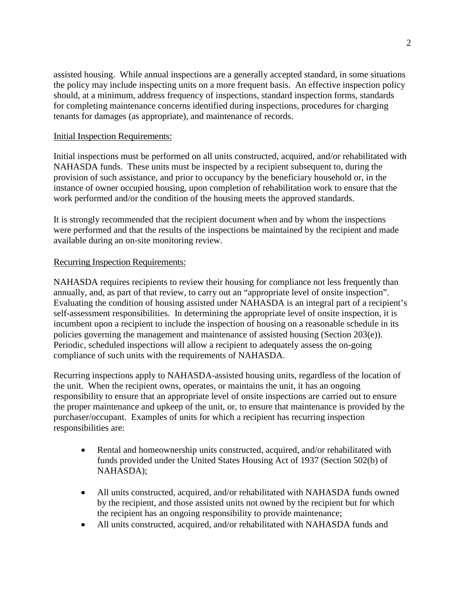assisted housing. While annual inspections are a generally accepted standard, in some situations the policy may include inspecting units on a more frequent basis. An effective inspection policy should, at a minimum, address frequency of inspections, standard inspection forms, standards for completing maintenance concerns identified during inspections, procedures for charging tenants for damages (as appropriate), and maintenance of records.

## Initial Inspection Requirements:

Initial inspections must be performed on all units constructed, acquired, and/or rehabilitated with NAHASDA funds. These units must be inspected by a recipient subsequent to, during the provision of such assistance, and prior to occupancy by the beneficiary household or, in the instance of owner occupied housing, upon completion of rehabilitation work to ensure that the work performed and/or the condition of the housing meets the approved standards.

It is strongly recommended that the recipient document when and by whom the inspections were performed and that the results of the inspections be maintained by the recipient and made available during an on-site monitoring review.

### Recurring Inspection Requirements:

NAHASDA requires recipients to review their housing for compliance not less frequently than annually, and, as part of that review, to carry out an "appropriate level of onsite inspection". Evaluating the condition of housing assisted under NAHASDA is an integral part of a recipient's self-assessment responsibilities. In determining the appropriate level of onsite inspection, it is incumbent upon a recipient to include the inspection of housing on a reasonable schedule in its policies governing the management and maintenance of assisted housing (Section 203(e)). Periodic, scheduled inspections will allow a recipient to adequately assess the on-going compliance of such units with the requirements of NAHASDA.

Recurring inspections apply to NAHASDA-assisted housing units, regardless of the location of the unit. When the recipient owns, operates, or maintains the unit, it has an ongoing responsibility to ensure that an appropriate level of onsite inspections are carried out to ensure the proper maintenance and upkeep of the unit, or, to ensure that maintenance is provided by the purchaser/occupant. Examples of units for which a recipient has recurring inspection responsibilities are:

- Rental and homeownership units constructed, acquired, and/or rehabilitated with funds provided under the United States Housing Act of 1937 (Section 502(b) of NAHASDA);
- All units constructed, acquired, and/or rehabilitated with NAHASDA funds owned by the recipient, and those assisted units not owned by the recipient but for which the recipient has an ongoing responsibility to provide maintenance;
- All units constructed, acquired, and/or rehabilitated with NAHASDA funds and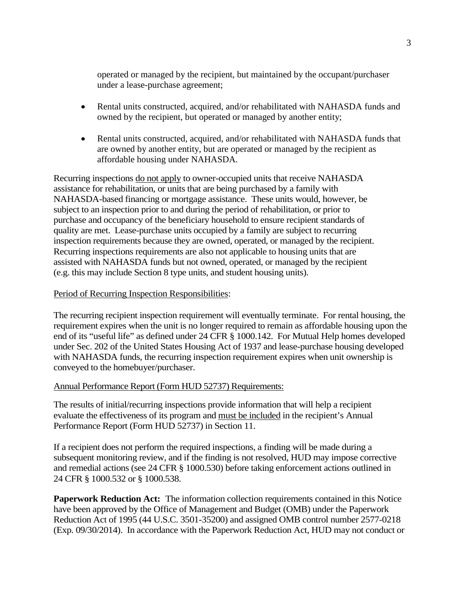operated or managed by the recipient, but maintained by the occupant/purchaser under a lease-purchase agreement;

- Rental units constructed, acquired, and/or rehabilitated with NAHASDA funds and owned by the recipient, but operated or managed by another entity;
- Rental units constructed, acquired, and/or rehabilitated with NAHASDA funds that are owned by another entity, but are operated or managed by the recipient as affordable housing under NAHASDA.

Recurring inspections do not apply to owner-occupied units that receive NAHASDA assistance for rehabilitation, or units that are being purchased by a family with NAHASDA-based financing or mortgage assistance. These units would, however, be subject to an inspection prior to and during the period of rehabilitation, or prior to purchase and occupancy of the beneficiary household to ensure recipient standards of quality are met. Lease-purchase units occupied by a family are subject to recurring inspection requirements because they are owned, operated, or managed by the recipient. Recurring inspections requirements are also not applicable to housing units that are assisted with NAHASDA funds but not owned, operated, or managed by the recipient (e.g. this may include Section 8 type units, and student housing units).

#### Period of Recurring Inspection Responsibilities:

The recurring recipient inspection requirement will eventually terminate. For rental housing, the requirement expires when the unit is no longer required to remain as affordable housing upon the end of its "useful life" as defined under 24 CFR § 1000.142. For Mutual Help homes developed under Sec. 202 of the United States Housing Act of 1937 and lease-purchase housing developed with NAHASDA funds, the recurring inspection requirement expires when unit ownership is conveyed to the homebuyer/purchaser.

#### Annual Performance Report (Form HUD 52737) Requirements:

The results of initial/recurring inspections provide information that will help a recipient evaluate the effectiveness of its program and must be included in the recipient's Annual Performance Report (Form HUD 52737) in Section 11.

If a recipient does not perform the required inspections, a finding will be made during a subsequent monitoring review, and if the finding is not resolved, HUD may impose corrective and remedial actions (see 24 CFR § 1000.530) before taking enforcement actions outlined in 24 CFR § 1000.532 or § 1000.538.

**Paperwork Reduction Act:** The information collection requirements contained in this Notice have been approved by the Office of Management and Budget (OMB) under the Paperwork Reduction Act of 1995 (44 U.S.C. 3501-35200) and assigned OMB control number 2577-0218 (Exp. 09/30/2014). In accordance with the Paperwork Reduction Act, HUD may not conduct or